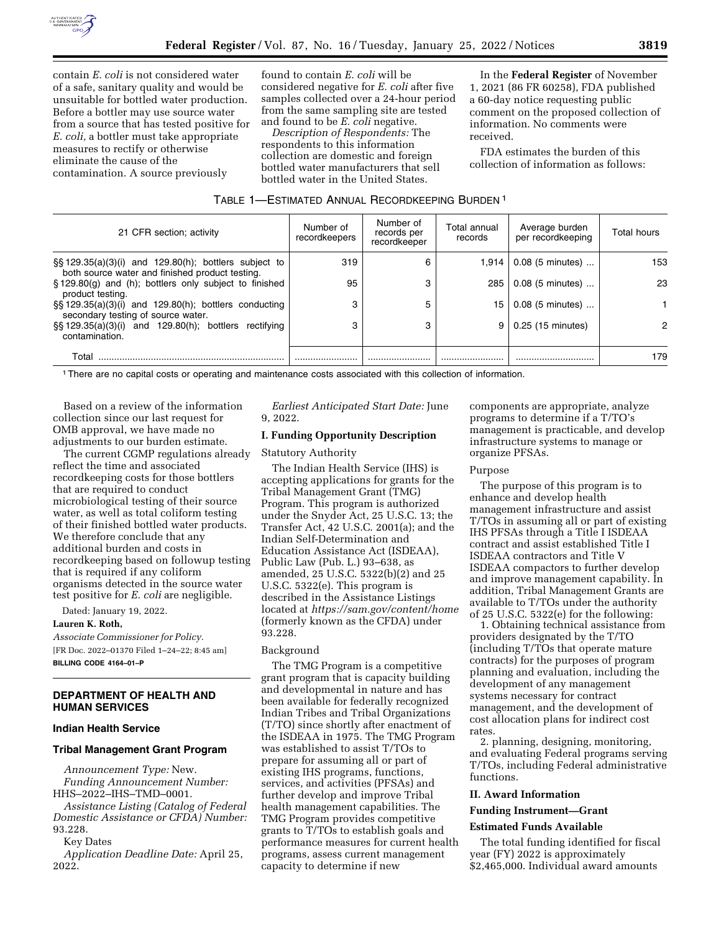

contain *E. coli* is not considered water of a safe, sanitary quality and would be unsuitable for bottled water production. Before a bottler may use source water from a source that has tested positive for *E. coli,* a bottler must take appropriate measures to rectify or otherwise eliminate the cause of the contamination. A source previously

found to contain *E. coli* will be considered negative for *E. coli* after five samples collected over a 24-hour period from the same sampling site are tested and found to be *E. coli* negative.

*Description of Respondents:* The respondents to this information collection are domestic and foreign bottled water manufacturers that sell bottled water in the United States.

In the **Federal Register** of November 1, 2021 (86 FR 60258), FDA published a 60-day notice requesting public comment on the proposed collection of information. No comments were received.

FDA estimates the burden of this collection of information as follows:

| TABLE 1-ESTIMATED ANNUAL RECORDKEEPING BURDEN <sup>1</sup> |  |
|------------------------------------------------------------|--|
|------------------------------------------------------------|--|

| 21 CFR section; activity                                                                                      | Number of<br>recordkeepers | Number of<br>records per<br>recordkeeper | Total annual<br>records | Average burden<br>per recordkeeping | <b>Total hours</b> |
|---------------------------------------------------------------------------------------------------------------|----------------------------|------------------------------------------|-------------------------|-------------------------------------|--------------------|
| $\S$ \$ 129.35(a)(3)(i) and 129.80(h); bottlers subject to<br>both source water and finished product testing. | 319                        | 6                                        | 1.914                   | 0.08 (5 minutes)                    | 153                |
| §129.80(g) and (h); bottlers only subject to finished<br>product testing.                                     | 95                         | 3                                        | 285                     | 0.08 (5 minutes)                    | 23                 |
| §§ 129.35(a)(3)(i) and 129.80(h); bottlers conducting<br>secondary testing of source water.                   | 3                          | 5                                        | 15                      | 0.08 (5 minutes)                    |                    |
| $\S$ \$ 129.35(a)(3)(i) and 129.80(h); bottlers rectifying<br>contamination.                                  | 3                          |                                          | 9                       | 0.25 (15 minutes)                   | 2                  |
| Total                                                                                                         |                            |                                          |                         |                                     | 179                |

1There are no capital costs or operating and maintenance costs associated with this collection of information.

Based on a review of the information collection since our last request for OMB approval, we have made no adjustments to our burden estimate.

The current CGMP regulations already reflect the time and associated recordkeeping costs for those bottlers that are required to conduct microbiological testing of their source water, as well as total coliform testing of their finished bottled water products. We therefore conclude that any additional burden and costs in recordkeeping based on followup testing that is required if any coliform organisms detected in the source water test positive for *E. coli* are negligible.

Dated: January 19, 2022.

#### **Lauren K. Roth,**

*Associate Commissioner for Policy.*  [FR Doc. 2022–01370 Filed 1–24–22; 8:45 am] **BILLING CODE 4164–01–P** 

# **DEPARTMENT OF HEALTH AND HUMAN SERVICES**

## **Indian Health Service**

#### **Tribal Management Grant Program**

*Announcement Type:* New.

*Funding Announcement Number:*  HHS–2022–IHS–TMD–0001.

*Assistance Listing (Catalog of Federal Domestic Assistance or CFDA) Number:*  93.228.

Key Dates

*Application Deadline Date:* April 25, 2022.

# *Earliest Anticipated Start Date:* June 9, 2022.

# **I. Funding Opportunity Description**

Statutory Authority

The Indian Health Service (IHS) is accepting applications for grants for the Tribal Management Grant (TMG) Program. This program is authorized under the Snyder Act, 25 U.S.C. 13; the Transfer Act, 42 U.S.C. 2001(a); and the Indian Self-Determination and Education Assistance Act (ISDEAA), Public Law (Pub. L.) 93–638, as amended, 25 U.S.C. 5322(b)(2) and 25 U.S.C. 5322(e). This program is described in the Assistance Listings located at *<https://sam.gov/content/home>* (formerly known as the CFDA) under 93.228.

#### Background

The TMG Program is a competitive grant program that is capacity building and developmental in nature and has been available for federally recognized Indian Tribes and Tribal Organizations (T/TO) since shortly after enactment of the ISDEAA in 1975. The TMG Program was established to assist T/TOs to prepare for assuming all or part of existing IHS programs, functions, services, and activities (PFSAs) and further develop and improve Tribal health management capabilities. The TMG Program provides competitive grants to T/TOs to establish goals and performance measures for current health programs, assess current management capacity to determine if new

components are appropriate, analyze programs to determine if a T/TO's management is practicable, and develop infrastructure systems to manage or organize PFSAs.

#### Purpose

The purpose of this program is to enhance and develop health management infrastructure and assist T/TOs in assuming all or part of existing IHS PFSAs through a Title I ISDEAA contract and assist established Title I ISDEAA contractors and Title V ISDEAA compactors to further develop and improve management capability. In addition, Tribal Management Grants are available to T/TOs under the authority of 25 U.S.C. 5322(e) for the following:

1. Obtaining technical assistance from providers designated by the T/TO (including T/TOs that operate mature contracts) for the purposes of program planning and evaluation, including the development of any management systems necessary for contract management, and the development of cost allocation plans for indirect cost rates.

2. planning, designing, monitoring, and evaluating Federal programs serving T/TOs, including Federal administrative functions.

# **II. Award Information**

#### **Funding Instrument—Grant**

# **Estimated Funds Available**

The total funding identified for fiscal year (FY) 2022 is approximately \$2,465,000. Individual award amounts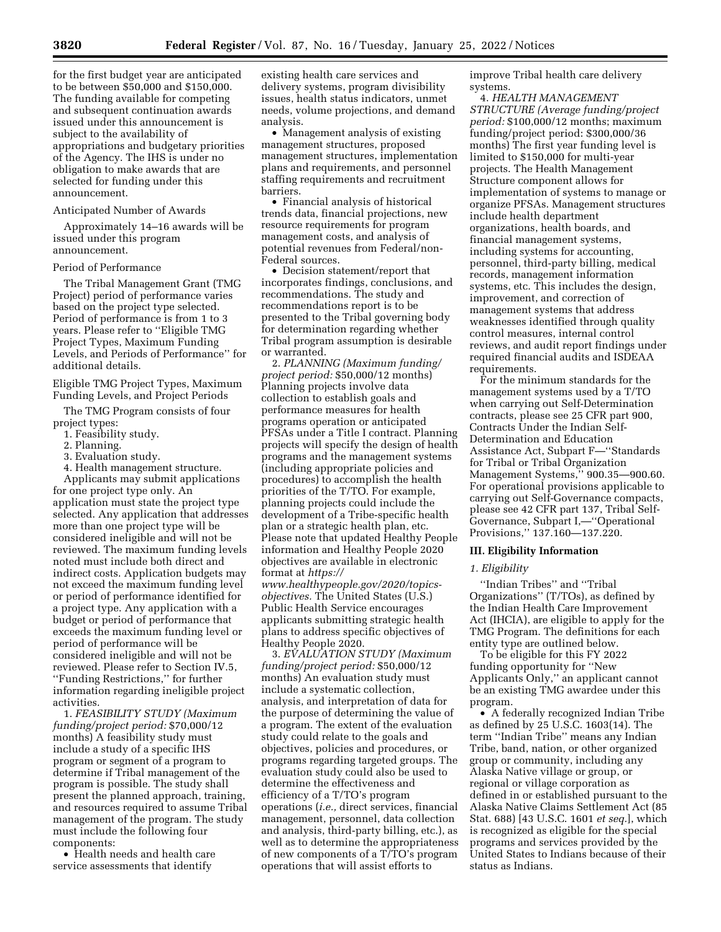for the first budget year are anticipated to be between \$50,000 and \$150,000. The funding available for competing and subsequent continuation awards issued under this announcement is subject to the availability of appropriations and budgetary priorities of the Agency. The IHS is under no obligation to make awards that are selected for funding under this announcement.

#### Anticipated Number of Awards

Approximately 14–16 awards will be issued under this program announcement.

## Period of Performance

The Tribal Management Grant (TMG Project) period of performance varies based on the project type selected. Period of performance is from 1 to 3 years. Please refer to ''Eligible TMG Project Types, Maximum Funding Levels, and Periods of Performance'' for additional details.

Eligible TMG Project Types, Maximum Funding Levels, and Project Periods

The TMG Program consists of four project types:

1. Feasibility study.

2. Planning.

3. Evaluation study.

4. Health management structure.

Applicants may submit applications for one project type only. An application must state the project type selected. Any application that addresses more than one project type will be considered ineligible and will not be reviewed. The maximum funding levels noted must include both direct and indirect costs. Application budgets may not exceed the maximum funding level or period of performance identified for a project type. Any application with a budget or period of performance that exceeds the maximum funding level or period of performance will be considered ineligible and will not be reviewed. Please refer to Section IV.5, ''Funding Restrictions,'' for further information regarding ineligible project activities.

1. *FEASIBILITY STUDY (Maximum funding/project period:* \$70,000/12 months) A feasibility study must include a study of a specific IHS program or segment of a program to determine if Tribal management of the program is possible. The study shall present the planned approach, training, and resources required to assume Tribal management of the program. The study must include the following four components:

• Health needs and health care service assessments that identify

existing health care services and delivery systems, program divisibility issues, health status indicators, unmet needs, volume projections, and demand analysis.

• Management analysis of existing management structures, proposed management structures, implementation plans and requirements, and personnel staffing requirements and recruitment barriers.

• Financial analysis of historical trends data, financial projections, new resource requirements for program management costs, and analysis of potential revenues from Federal/non-Federal sources.

• Decision statement/report that incorporates findings, conclusions, and recommendations. The study and recommendations report is to be presented to the Tribal governing body for determination regarding whether Tribal program assumption is desirable or warranted.

2. *PLANNING (Maximum funding/ project period:* \$50,000/12 months) Planning projects involve data collection to establish goals and performance measures for health programs operation or anticipated PFSAs under a Title I contract. Planning projects will specify the design of health programs and the management systems (including appropriate policies and procedures) to accomplish the health priorities of the T/TO. For example, planning projects could include the development of a Tribe-specific health plan or a strategic health plan, etc. Please note that updated Healthy People information and Healthy People 2020 objectives are available in electronic format at *[https://](https://www.healthypeople.gov/2020/topics-objectives) [www.healthypeople.gov/2020/topics](https://www.healthypeople.gov/2020/topics-objectives)[objectives.](https://www.healthypeople.gov/2020/topics-objectives)* The United States (U.S.) Public Health Service encourages applicants submitting strategic health plans to address specific objectives of Healthy People 2020.

3. *EVALUATION STUDY (Maximum funding/project period:* \$50,000/12 months) An evaluation study must include a systematic collection, analysis, and interpretation of data for the purpose of determining the value of a program. The extent of the evaluation study could relate to the goals and objectives, policies and procedures, or programs regarding targeted groups. The evaluation study could also be used to determine the effectiveness and efficiency of a T/TO's program operations (*i.e.,* direct services, financial management, personnel, data collection and analysis, third-party billing, etc.), as well as to determine the appropriateness of new components of a T/TO's program operations that will assist efforts to

improve Tribal health care delivery systems.

4. *HEALTH MANAGEMENT STRUCTURE (Average funding/project period:* \$100,000/12 months; maximum funding/project period: \$300,000/36 months) The first year funding level is limited to \$150,000 for multi-year projects. The Health Management Structure component allows for implementation of systems to manage or organize PFSAs. Management structures include health department organizations, health boards, and financial management systems, including systems for accounting, personnel, third-party billing, medical records, management information systems, etc. This includes the design, improvement, and correction of management systems that address weaknesses identified through quality control measures, internal control reviews, and audit report findings under required financial audits and ISDEAA requirements.

For the minimum standards for the management systems used by a T/TO when carrying out Self-Determination contracts, please see 25 CFR part 900, Contracts Under the Indian Self-Determination and Education Assistance Act, Subpart F—''Standards for Tribal or Tribal Organization Management Systems,'' 900.35—900.60. For operational provisions applicable to carrying out Self-Governance compacts, please see 42 CFR part 137, Tribal Self-Governance, Subpart I,—''Operational Provisions,'' 137.160—137.220.

## **III. Eligibility Information**

## *1. Eligibility*

''Indian Tribes'' and ''Tribal Organizations'' (T/TOs), as defined by the Indian Health Care Improvement Act (IHCIA), are eligible to apply for the TMG Program. The definitions for each entity type are outlined below.

To be eligible for this FY 2022 funding opportunity for ''New Applicants Only,'' an applicant cannot be an existing TMG awardee under this program.

• A federally recognized Indian Tribe as defined by 25 U.S.C. 1603(14). The term ''Indian Tribe'' means any Indian Tribe, band, nation, or other organized group or community, including any Alaska Native village or group, or regional or village corporation as defined in or established pursuant to the Alaska Native Claims Settlement Act (85 Stat. 688) [43 U.S.C. 1601 *et seq.*], which is recognized as eligible for the special programs and services provided by the United States to Indians because of their status as Indians.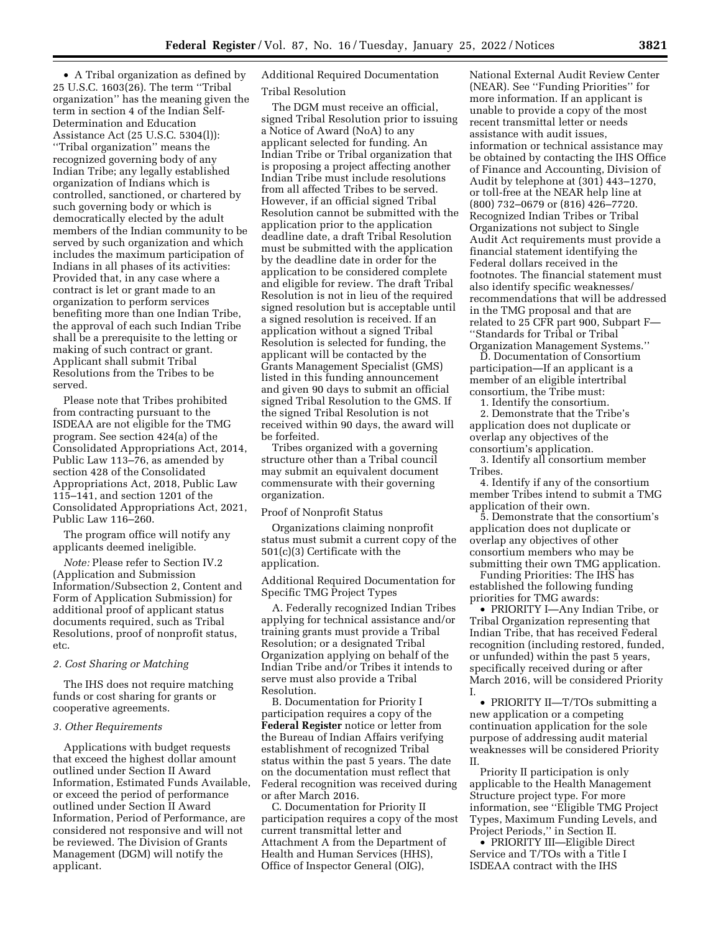• A Tribal organization as defined by 25 U.S.C. 1603(26). The term ''Tribal organization'' has the meaning given the term in section 4 of the Indian Self-Determination and Education Assistance Act (25 U.S.C. 5304(l)): ''Tribal organization'' means the recognized governing body of any Indian Tribe; any legally established organization of Indians which is controlled, sanctioned, or chartered by such governing body or which is democratically elected by the adult members of the Indian community to be served by such organization and which includes the maximum participation of Indians in all phases of its activities: Provided that, in any case where a contract is let or grant made to an organization to perform services benefiting more than one Indian Tribe, the approval of each such Indian Tribe shall be a prerequisite to the letting or making of such contract or grant. Applicant shall submit Tribal Resolutions from the Tribes to be served.

Please note that Tribes prohibited from contracting pursuant to the ISDEAA are not eligible for the TMG program. See section 424(a) of the Consolidated Appropriations Act, 2014, Public Law 113–76, as amended by section 428 of the Consolidated Appropriations Act, 2018, Public Law 115–141, and section 1201 of the Consolidated Appropriations Act, 2021, Public Law 116–260.

The program office will notify any applicants deemed ineligible.

*Note:* Please refer to Section IV.2 (Application and Submission Information/Subsection 2, Content and Form of Application Submission) for additional proof of applicant status documents required, such as Tribal Resolutions, proof of nonprofit status, etc.

# *2. Cost Sharing or Matching*

The IHS does not require matching funds or cost sharing for grants or cooperative agreements.

## *3. Other Requirements*

Applications with budget requests that exceed the highest dollar amount outlined under Section II Award Information, Estimated Funds Available, or exceed the period of performance outlined under Section II Award Information, Period of Performance, are considered not responsive and will not be reviewed. The Division of Grants Management (DGM) will notify the applicant.

Additional Required Documentation Tribal Resolution

The DGM must receive an official, signed Tribal Resolution prior to issuing a Notice of Award (NoA) to any applicant selected for funding. An Indian Tribe or Tribal organization that is proposing a project affecting another Indian Tribe must include resolutions from all affected Tribes to be served. However, if an official signed Tribal Resolution cannot be submitted with the application prior to the application deadline date, a draft Tribal Resolution must be submitted with the application by the deadline date in order for the application to be considered complete and eligible for review. The draft Tribal Resolution is not in lieu of the required signed resolution but is acceptable until a signed resolution is received. If an application without a signed Tribal Resolution is selected for funding, the applicant will be contacted by the Grants Management Specialist (GMS) listed in this funding announcement and given 90 days to submit an official signed Tribal Resolution to the GMS. If the signed Tribal Resolution is not received within 90 days, the award will be forfeited.

Tribes organized with a governing structure other than a Tribal council may submit an equivalent document commensurate with their governing organization.

#### Proof of Nonprofit Status

Organizations claiming nonprofit status must submit a current copy of the 501(c)(3) Certificate with the application.

Additional Required Documentation for Specific TMG Project Types

A. Federally recognized Indian Tribes applying for technical assistance and/or training grants must provide a Tribal Resolution; or a designated Tribal Organization applying on behalf of the Indian Tribe and/or Tribes it intends to serve must also provide a Tribal Resolution.

B. Documentation for Priority I participation requires a copy of the **Federal Register** notice or letter from the Bureau of Indian Affairs verifying establishment of recognized Tribal status within the past 5 years. The date on the documentation must reflect that Federal recognition was received during or after March 2016.

C. Documentation for Priority II participation requires a copy of the most current transmittal letter and Attachment A from the Department of Health and Human Services (HHS), Office of Inspector General (OIG),

National External Audit Review Center (NEAR). See ''Funding Priorities'' for more information. If an applicant is unable to provide a copy of the most recent transmittal letter or needs assistance with audit issues, information or technical assistance may be obtained by contacting the IHS Office of Finance and Accounting, Division of Audit by telephone at (301) 443–1270, or toll-free at the NEAR help line at (800) 732–0679 or (816) 426–7720. Recognized Indian Tribes or Tribal Organizations not subject to Single Audit Act requirements must provide a financial statement identifying the Federal dollars received in the footnotes. The financial statement must also identify specific weaknesses/ recommendations that will be addressed in the TMG proposal and that are related to 25 CFR part 900, Subpart F— ''Standards for Tribal or Tribal Organization Management Systems.''

D. Documentation of Consortium participation—If an applicant is a member of an eligible intertribal consortium, the Tribe must:

1. Identify the consortium.

2. Demonstrate that the Tribe's application does not duplicate or overlap any objectives of the consortium's application.

3. Identify all consortium member Tribes.

4. Identify if any of the consortium member Tribes intend to submit a TMG application of their own.

5. Demonstrate that the consortium's application does not duplicate or overlap any objectives of other consortium members who may be submitting their own TMG application.

Funding Priorities: The IHS has established the following funding priorities for TMG awards:

• PRIORITY I—Any Indian Tribe, or Tribal Organization representing that Indian Tribe, that has received Federal recognition (including restored, funded, or unfunded) within the past 5 years, specifically received during or after March 2016, will be considered Priority I.

• PRIORITY II—T/TOs submitting a new application or a competing continuation application for the sole purpose of addressing audit material weaknesses will be considered Priority II.

Priority II participation is only applicable to the Health Management Structure project type. For more information, see ''Eligible TMG Project Types, Maximum Funding Levels, and Project Periods,'' in Section II.

• PRIORITY III—Eligible Direct Service and T/TOs with a Title I ISDEAA contract with the IHS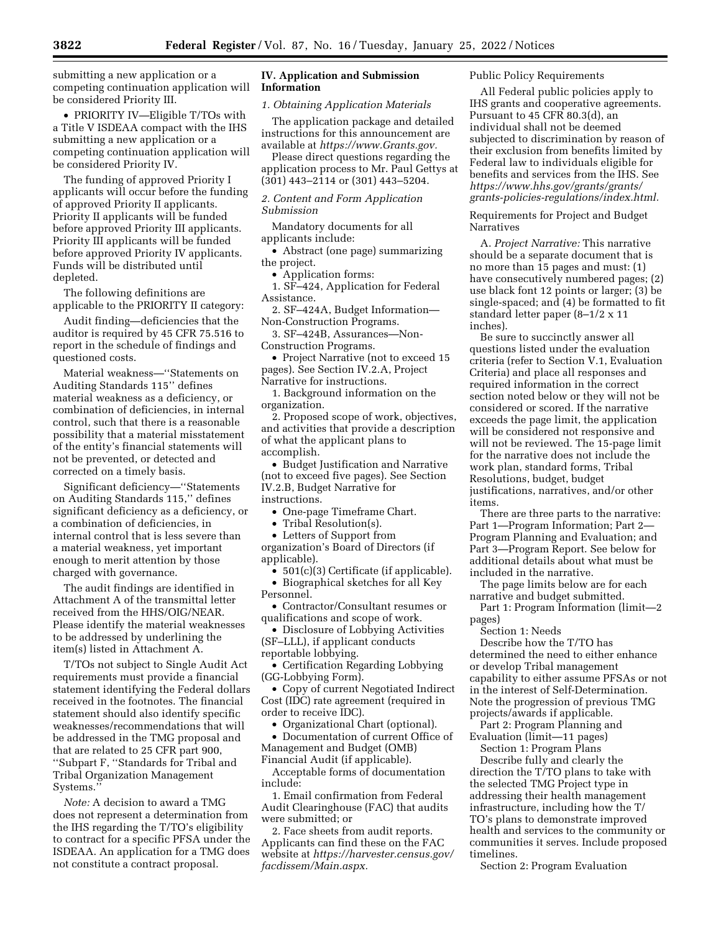submitting a new application or a competing continuation application will be considered Priority III.

• PRIORITY IV—Eligible T/TOs with a Title V ISDEAA compact with the IHS submitting a new application or a competing continuation application will be considered Priority IV.

The funding of approved Priority I applicants will occur before the funding of approved Priority II applicants. Priority II applicants will be funded before approved Priority III applicants. Priority III applicants will be funded before approved Priority IV applicants. Funds will be distributed until depleted.

The following definitions are applicable to the PRIORITY II category:

Audit finding—deficiencies that the auditor is required by 45 CFR 75.516 to report in the schedule of findings and questioned costs.

Material weakness—''Statements on Auditing Standards 115'' defines material weakness as a deficiency, or combination of deficiencies, in internal control, such that there is a reasonable possibility that a material misstatement of the entity's financial statements will not be prevented, or detected and corrected on a timely basis.

Significant deficiency—''Statements on Auditing Standards 115,'' defines significant deficiency as a deficiency, or a combination of deficiencies, in internal control that is less severe than a material weakness, yet important enough to merit attention by those charged with governance.

The audit findings are identified in Attachment A of the transmittal letter received from the HHS/OIG/NEAR. Please identify the material weaknesses to be addressed by underlining the item(s) listed in Attachment A.

T/TOs not subject to Single Audit Act requirements must provide a financial statement identifying the Federal dollars received in the footnotes. The financial statement should also identify specific weaknesses/recommendations that will be addressed in the TMG proposal and that are related to 25 CFR part 900, ''Subpart F, ''Standards for Tribal and Tribal Organization Management Systems.''

*Note:* A decision to award a TMG does not represent a determination from the IHS regarding the T/TO's eligibility to contract for a specific PFSA under the ISDEAA. An application for a TMG does not constitute a contract proposal.

# **IV. Application and Submission Information**

#### *1. Obtaining Application Materials*

The application package and detailed instructions for this announcement are available at *[https://www.Grants.gov.](https://www.Grants.gov)* 

Please direct questions regarding the application process to Mr. Paul Gettys at (301) 443–2114 or (301) 443–5204.

# *2. Content and Form Application Submission*

Mandatory documents for all applicants include:

• Abstract (one page) summarizing the project.

• Application forms:

1. SF–424, Application for Federal Assistance.

2. SF–424A, Budget Information— Non-Construction Programs.

3. SF–424B, Assurances—Non-Construction Programs.

• Project Narrative (not to exceed 15 pages). See Section IV.2.A, Project Narrative for instructions.

1. Background information on the organization.

2. Proposed scope of work, objectives, and activities that provide a description of what the applicant plans to accomplish.

• Budget Justification and Narrative (not to exceed five pages). See Section IV.2.B, Budget Narrative for instructions.

• One-page Timeframe Chart.

• Tribal Resolution(s).

• Letters of Support from organization's Board of Directors (if

applicable).

- 501(c)(3) Certificate (if applicable). • Biographical sketches for all Key Personnel.
- Contractor/Consultant resumes or qualifications and scope of work.

• Disclosure of Lobbying Activities (SF–LLL), if applicant conducts reportable lobbying.

• Certification Regarding Lobbying (GG-Lobbying Form).

• Copy of current Negotiated Indirect Cost (IDC) rate agreement (required in order to receive IDC).

• Organizational Chart (optional).

• Documentation of current Office of Management and Budget (OMB) Financial Audit (if applicable).

Acceptable forms of documentation include:

1. Email confirmation from Federal Audit Clearinghouse (FAC) that audits were submitted; or

2. Face sheets from audit reports. Applicants can find these on the FAC website at *[https://harvester.census.gov/](https://harvester.census.gov/facdissem/Main.aspx) [facdissem/Main.aspx.](https://harvester.census.gov/facdissem/Main.aspx)* 

## Public Policy Requirements

All Federal public policies apply to IHS grants and cooperative agreements. Pursuant to 45 CFR 80.3(d), an individual shall not be deemed subjected to discrimination by reason of their exclusion from benefits limited by Federal law to individuals eligible for benefits and services from the IHS. See *[https://www.hhs.gov/grants/grants/](https://www.hhs.gov/grants/grants/grants-policies-regulations/index.html)  [grants-policies-regulations/index.html.](https://www.hhs.gov/grants/grants/grants-policies-regulations/index.html)* 

Requirements for Project and Budget Narratives

A. *Project Narrative:* This narrative should be a separate document that is no more than 15 pages and must: (1) have consecutively numbered pages; (2) use black font 12 points or larger; (3) be single-spaced; and (4) be formatted to fit standard letter paper (8–1/2 x 11 inches).

Be sure to succinctly answer all questions listed under the evaluation criteria (refer to Section V.1, Evaluation Criteria) and place all responses and required information in the correct section noted below or they will not be considered or scored. If the narrative exceeds the page limit, the application will be considered not responsive and will not be reviewed. The 15-page limit for the narrative does not include the work plan, standard forms, Tribal Resolutions, budget, budget justifications, narratives, and/or other items.

There are three parts to the narrative: Part 1—Program Information; Part 2— Program Planning and Evaluation; and Part 3—Program Report. See below for additional details about what must be included in the narrative.

The page limits below are for each narrative and budget submitted.

Part 1: Program Information (limit—2 pages)

Section 1: Needs

Describe how the T/TO has determined the need to either enhance or develop Tribal management capability to either assume PFSAs or not in the interest of Self-Determination. Note the progression of previous TMG projects/awards if applicable.

Part 2: Program Planning and Evaluation (limit—11 pages)

Section 1: Program Plans Describe fully and clearly the direction the T/TO plans to take with the selected TMG Project type in addressing their health management infrastructure, including how the T/ TO's plans to demonstrate improved health and services to the community or communities it serves. Include proposed timelines.

Section 2: Program Evaluation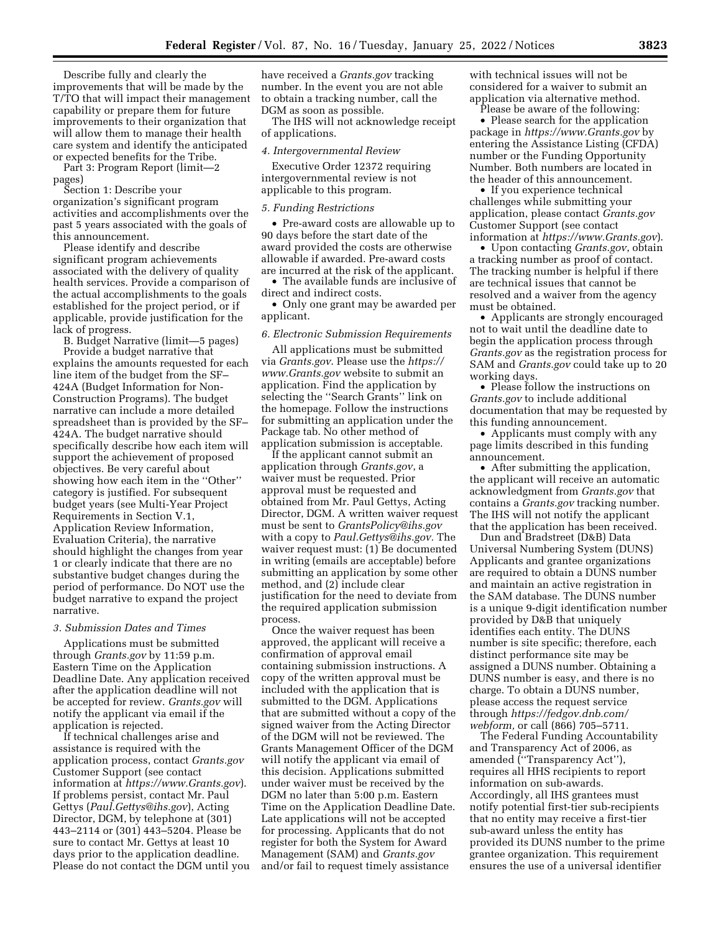Describe fully and clearly the improvements that will be made by the T/TO that will impact their management capability or prepare them for future improvements to their organization that will allow them to manage their health care system and identify the anticipated or expected benefits for the Tribe.

Part 3: Program Report (limit—2 pages)

Section 1: Describe your organization's significant program activities and accomplishments over the past 5 years associated with the goals of this announcement.

Please identify and describe significant program achievements associated with the delivery of quality health services. Provide a comparison of the actual accomplishments to the goals established for the project period, or if applicable, provide justification for the lack of progress.

B. Budget Narrative (limit—5 pages) Provide a budget narrative that explains the amounts requested for each line item of the budget from the SF– 424A (Budget Information for Non-Construction Programs). The budget narrative can include a more detailed spreadsheet than is provided by the SF– 424A. The budget narrative should specifically describe how each item will support the achievement of proposed objectives. Be very careful about showing how each item in the ''Other'' category is justified. For subsequent budget years (see Multi-Year Project Requirements in Section V.1, Application Review Information, Evaluation Criteria), the narrative should highlight the changes from year 1 or clearly indicate that there are no substantive budget changes during the period of performance. Do NOT use the budget narrative to expand the project narrative.

#### *3. Submission Dates and Times*

Applications must be submitted through *Grants.gov* by 11:59 p.m. Eastern Time on the Application Deadline Date. Any application received after the application deadline will not be accepted for review. *Grants.gov* will notify the applicant via email if the application is rejected.

If technical challenges arise and assistance is required with the application process, contact *Grants.gov*  Customer Support (see contact information at *<https://www.Grants.gov>*). If problems persist, contact Mr. Paul Gettys (*[Paul.Gettys@ihs.gov](mailto:Paul.Gettys@ihs.gov)*), Acting Director, DGM, by telephone at (301) 443–2114 or (301) 443–5204. Please be sure to contact Mr. Gettys at least 10 days prior to the application deadline. Please do not contact the DGM until you

have received a *Grants.gov* tracking number. In the event you are not able to obtain a tracking number, call the DGM as soon as possible.

The IHS will not acknowledge receipt of applications.

#### *4. Intergovernmental Review*

Executive Order 12372 requiring intergovernmental review is not applicable to this program.

#### *5. Funding Restrictions*

• Pre-award costs are allowable up to 90 days before the start date of the award provided the costs are otherwise allowable if awarded. Pre-award costs are incurred at the risk of the applicant.

• The available funds are inclusive of direct and indirect costs.

• Only one grant may be awarded per applicant.

## *6. Electronic Submission Requirements*

All applications must be submitted via *Grants.gov*. Please use the *[https://](https://www.Grants.gov) [www.Grants.gov](https://www.Grants.gov)* website to submit an application. Find the application by selecting the ''Search Grants'' link on the homepage. Follow the instructions for submitting an application under the Package tab. No other method of application submission is acceptable.

If the applicant cannot submit an application through *Grants.gov*, a waiver must be requested. Prior approval must be requested and obtained from Mr. Paul Gettys, Acting Director, DGM. A written waiver request must be sent to *[GrantsPolicy@ihs.gov](mailto:GrantsPolicy@ihs.gov)*  with a copy to *[Paul.Gettys@ihs.gov.](mailto:Paul.Gettys@ihs.gov)* The waiver request must: (1) Be documented in writing (emails are acceptable) before submitting an application by some other method, and (2) include clear justification for the need to deviate from the required application submission process.

Once the waiver request has been approved, the applicant will receive a confirmation of approval email containing submission instructions. A copy of the written approval must be included with the application that is submitted to the DGM. Applications that are submitted without a copy of the signed waiver from the Acting Director of the DGM will not be reviewed. The Grants Management Officer of the DGM will notify the applicant via email of this decision. Applications submitted under waiver must be received by the DGM no later than 5:00 p.m. Eastern Time on the Application Deadline Date. Late applications will not be accepted for processing. Applicants that do not register for both the System for Award Management (SAM) and *Grants.gov*  and/or fail to request timely assistance

with technical issues will not be considered for a waiver to submit an application via alternative method. Please be aware of the following:

• Please search for the application package in *<https://www.Grants.gov>* by entering the Assistance Listing (CFDA) number or the Funding Opportunity Number. Both numbers are located in the header of this announcement.

• If you experience technical challenges while submitting your application, please contact *Grants.gov*  Customer Support (see contact information at *<https://www.Grants.gov>*).

• Upon contacting *Grants.gov*, obtain a tracking number as proof of contact. The tracking number is helpful if there are technical issues that cannot be resolved and a waiver from the agency must be obtained.

• Applicants are strongly encouraged not to wait until the deadline date to begin the application process through *Grants.gov* as the registration process for SAM and *Grants.gov* could take up to 20 working days.

• Please follow the instructions on *Grants.gov* to include additional documentation that may be requested by this funding announcement.

• Applicants must comply with any page limits described in this funding announcement.

• After submitting the application, the applicant will receive an automatic acknowledgment from *Grants.gov* that contains a *Grants.gov* tracking number. The IHS will not notify the applicant that the application has been received.

Dun and Bradstreet (D&B) Data Universal Numbering System (DUNS) Applicants and grantee organizations are required to obtain a DUNS number and maintain an active registration in the SAM database. The DUNS number is a unique 9-digit identification number provided by D&B that uniquely identifies each entity. The DUNS number is site specific; therefore, each distinct performance site may be assigned a DUNS number. Obtaining a DUNS number is easy, and there is no charge. To obtain a DUNS number, please access the request service through *[https://fedgov.dnb.com/](https://fedgov.dnb.com/webform)  [webform,](https://fedgov.dnb.com/webform)* or call (866) 705–5711.

The Federal Funding Accountability and Transparency Act of 2006, as amended (''Transparency Act''), requires all HHS recipients to report information on sub-awards. Accordingly, all IHS grantees must notify potential first-tier sub-recipients that no entity may receive a first-tier sub-award unless the entity has provided its DUNS number to the prime grantee organization. This requirement ensures the use of a universal identifier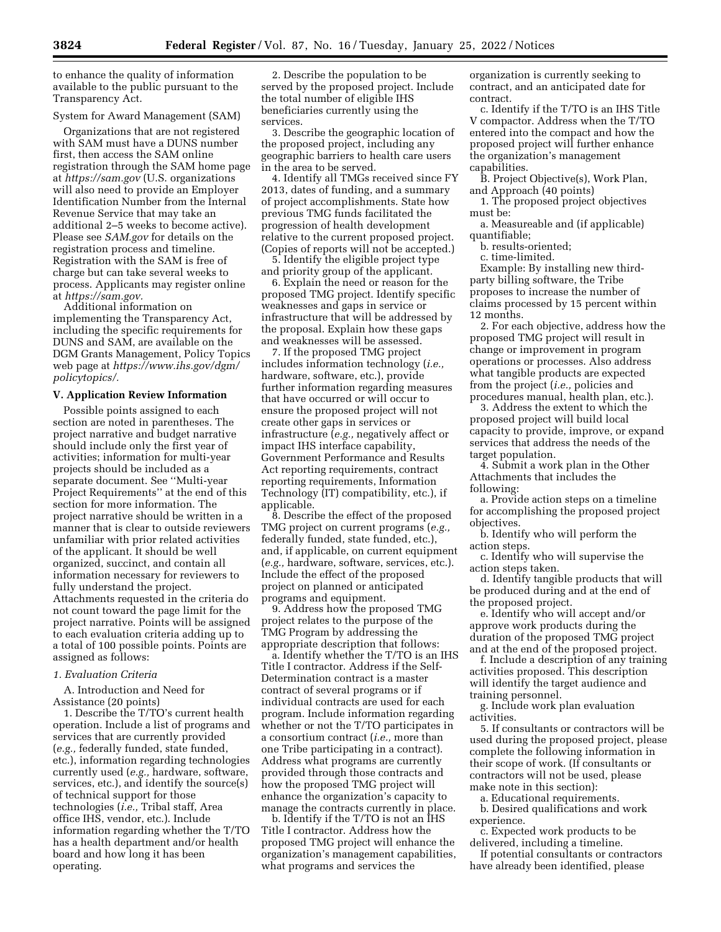to enhance the quality of information available to the public pursuant to the Transparency Act.

## System for Award Management (SAM)

Organizations that are not registered with SAM must have a DUNS number first, then access the SAM online registration through the SAM home page at *<https://sam.gov>* (U.S. organizations will also need to provide an Employer Identification Number from the Internal Revenue Service that may take an additional 2–5 weeks to become active). Please see *SAM.gov* for details on the registration process and timeline. Registration with the SAM is free of charge but can take several weeks to process. Applicants may register online at *[https://sam.gov.](https://sam.gov)* 

Additional information on implementing the Transparency Act, including the specific requirements for DUNS and SAM, are available on the DGM Grants Management, Policy Topics web page at *[https://www.ihs.gov/dgm/](https://www.ihs.gov/dgm/policytopics/) [policytopics/.](https://www.ihs.gov/dgm/policytopics/)* 

## **V. Application Review Information**

Possible points assigned to each section are noted in parentheses. The project narrative and budget narrative should include only the first year of activities; information for multi-year projects should be included as a separate document. See ''Multi-year Project Requirements'' at the end of this section for more information. The project narrative should be written in a manner that is clear to outside reviewers unfamiliar with prior related activities of the applicant. It should be well organized, succinct, and contain all information necessary for reviewers to fully understand the project. Attachments requested in the criteria do not count toward the page limit for the project narrative. Points will be assigned to each evaluation criteria adding up to a total of 100 possible points. Points are assigned as follows:

#### *1. Evaluation Criteria*

A. Introduction and Need for Assistance (20 points)

1. Describe the T/TO's current health operation. Include a list of programs and services that are currently provided (*e.g.,* federally funded, state funded, etc.), information regarding technologies currently used (*e.g.,* hardware, software, services, etc.), and identify the source(s) of technical support for those technologies (*i.e.,* Tribal staff, Area office IHS, vendor, etc.). Include information regarding whether the T/TO has a health department and/or health board and how long it has been operating.

2. Describe the population to be served by the proposed project. Include the total number of eligible IHS beneficiaries currently using the services.

3. Describe the geographic location of the proposed project, including any geographic barriers to health care users in the area to be served.

4. Identify all TMGs received since FY 2013, dates of funding, and a summary of project accomplishments. State how previous TMG funds facilitated the progression of health development relative to the current proposed project. (Copies of reports will not be accepted.)

5. Identify the eligible project type and priority group of the applicant.

6. Explain the need or reason for the proposed TMG project. Identify specific weaknesses and gaps in service or infrastructure that will be addressed by the proposal. Explain how these gaps and weaknesses will be assessed.

7. If the proposed TMG project includes information technology (*i.e.,*  hardware, software, etc.), provide further information regarding measures that have occurred or will occur to ensure the proposed project will not create other gaps in services or infrastructure (*e.g.,* negatively affect or impact IHS interface capability, Government Performance and Results Act reporting requirements, contract reporting requirements, Information Technology (IT) compatibility, etc.), if applicable.

8. Describe the effect of the proposed TMG project on current programs (*e.g.,*  federally funded, state funded, etc.), and, if applicable, on current equipment (*e.g.,* hardware, software, services, etc.). Include the effect of the proposed project on planned or anticipated programs and equipment.

9. Address how the proposed TMG project relates to the purpose of the TMG Program by addressing the appropriate description that follows:

a. Identify whether the T/TO is an IHS Title I contractor. Address if the Self-Determination contract is a master contract of several programs or if individual contracts are used for each program. Include information regarding whether or not the T/TO participates in a consortium contract (*i.e.,* more than one Tribe participating in a contract). Address what programs are currently provided through those contracts and how the proposed TMG project will enhance the organization's capacity to manage the contracts currently in place.

b. Identify if the T/TO is not an IHS Title I contractor. Address how the proposed TMG project will enhance the organization's management capabilities, what programs and services the

organization is currently seeking to contract, and an anticipated date for contract.

c. Identify if the T/TO is an IHS Title V compactor. Address when the T/TO entered into the compact and how the proposed project will further enhance the organization's management capabilities.

B. Project Objective(s), Work Plan, and Approach (40 points)

1. The proposed project objectives must be:

a. Measureable and (if applicable) quantifiable;

b. results-oriented;

c. time-limited.

Example: By installing new thirdparty billing software, the Tribe proposes to increase the number of claims processed by 15 percent within 12 months.

2. For each objective, address how the proposed TMG project will result in change or improvement in program operations or processes. Also address what tangible products are expected from the project (*i.e.,* policies and procedures manual, health plan, etc.).

3. Address the extent to which the proposed project will build local capacity to provide, improve, or expand services that address the needs of the target population.

4. Submit a work plan in the Other Attachments that includes the following:

a. Provide action steps on a timeline for accomplishing the proposed project objectives.

b. Identify who will perform the action steps.

c. Identify who will supervise the action steps taken.

d. Identify tangible products that will be produced during and at the end of the proposed project.

e. Identify who will accept and/or approve work products during the duration of the proposed TMG project and at the end of the proposed project.

f. Include a description of any training activities proposed. This description will identify the target audience and training personnel.

g. Include work plan evaluation activities.

5. If consultants or contractors will be used during the proposed project, please complete the following information in their scope of work. (If consultants or contractors will not be used, please make note in this section):

a. Educational requirements.

b. Desired qualifications and work experience.

c. Expected work products to be delivered, including a timeline.

If potential consultants or contractors have already been identified, please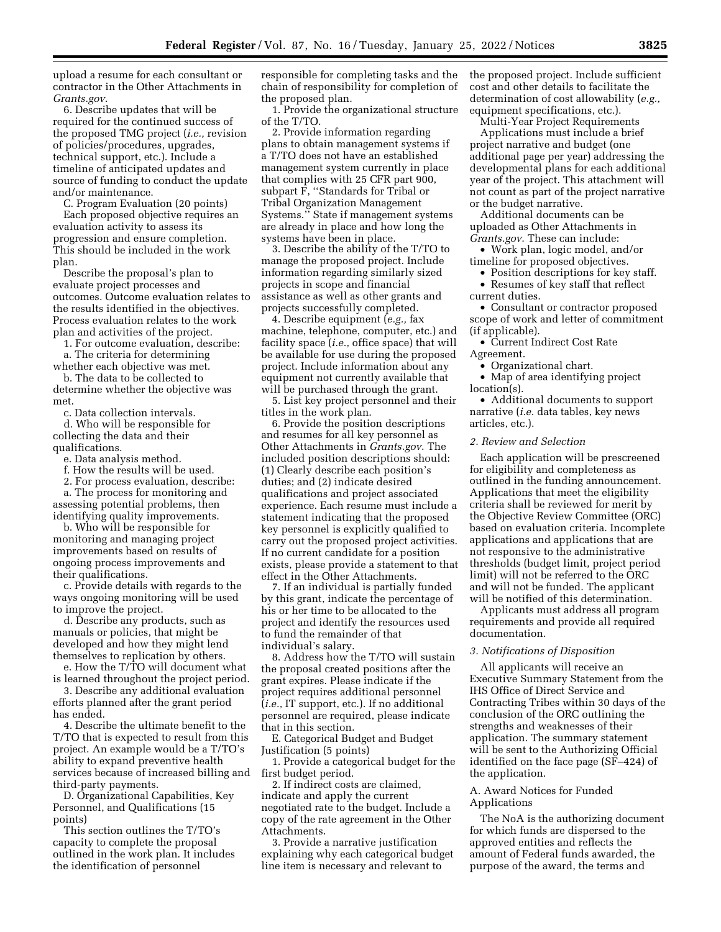upload a resume for each consultant or contractor in the Other Attachments in *Grants.gov*.

6. Describe updates that will be required for the continued success of the proposed TMG project (*i.e.,* revision of policies/procedures, upgrades, technical support, etc.). Include a timeline of anticipated updates and source of funding to conduct the update and/or maintenance.

C. Program Evaluation (20 points)

Each proposed objective requires an evaluation activity to assess its progression and ensure completion. This should be included in the work plan.

Describe the proposal's plan to evaluate project processes and outcomes. Outcome evaluation relates to the results identified in the objectives. Process evaluation relates to the work plan and activities of the project.

1. For outcome evaluation, describe:

a. The criteria for determining whether each objective was met.

b. The data to be collected to

determine whether the objective was met.

c. Data collection intervals.

d. Who will be responsible for collecting the data and their qualifications.

e. Data analysis method.

f. How the results will be used.

2. For process evaluation, describe:

a. The process for monitoring and assessing potential problems, then identifying quality improvements.

b. Who will be responsible for monitoring and managing project improvements based on results of ongoing process improvements and their qualifications.

c. Provide details with regards to the ways ongoing monitoring will be used to improve the project.

d. Describe any products, such as manuals or policies, that might be developed and how they might lend themselves to replication by others.

e. How the T/TO will document what is learned throughout the project period.

3. Describe any additional evaluation efforts planned after the grant period has ended.

4. Describe the ultimate benefit to the T/TO that is expected to result from this project. An example would be a T/TO's ability to expand preventive health services because of increased billing and third-party payments.

D. Organizational Capabilities, Key Personnel, and Qualifications (15 points)

This section outlines the T/TO's capacity to complete the proposal outlined in the work plan. It includes the identification of personnel

responsible for completing tasks and the chain of responsibility for completion of the proposed plan.

1. Provide the organizational structure of the T/TO.

2. Provide information regarding plans to obtain management systems if a T/TO does not have an established management system currently in place that complies with 25 CFR part 900, subpart F, ''Standards for Tribal or Tribal Organization Management Systems.'' State if management systems are already in place and how long the systems have been in place.

3. Describe the ability of the T/TO to manage the proposed project. Include information regarding similarly sized projects in scope and financial assistance as well as other grants and projects successfully completed.

4. Describe equipment (*e.g.,* fax machine, telephone, computer, etc.) and facility space (*i.e.,* office space) that will be available for use during the proposed project. Include information about any equipment not currently available that will be purchased through the grant.

5. List key project personnel and their titles in the work plan.

6. Provide the position descriptions and resumes for all key personnel as Other Attachments in *Grants.gov*. The included position descriptions should: (1) Clearly describe each position's duties; and (2) indicate desired qualifications and project associated experience. Each resume must include a statement indicating that the proposed key personnel is explicitly qualified to carry out the proposed project activities. If no current candidate for a position exists, please provide a statement to that effect in the Other Attachments.

7. If an individual is partially funded by this grant, indicate the percentage of his or her time to be allocated to the project and identify the resources used to fund the remainder of that individual's salary.

8. Address how the T/TO will sustain the proposal created positions after the grant expires. Please indicate if the project requires additional personnel (*i.e.,* IT support, etc.). If no additional personnel are required, please indicate that in this section.

E. Categorical Budget and Budget Justification (5 points)

1. Provide a categorical budget for the first budget period.

2. If indirect costs are claimed, indicate and apply the current negotiated rate to the budget. Include a copy of the rate agreement in the Other Attachments.

3. Provide a narrative justification explaining why each categorical budget line item is necessary and relevant to

the proposed project. Include sufficient cost and other details to facilitate the determination of cost allowability (*e.g.,*  equipment specifications, etc.).

Multi-Year Project Requirements

Applications must include a brief project narrative and budget (one additional page per year) addressing the developmental plans for each additional year of the project. This attachment will not count as part of the project narrative or the budget narrative.

Additional documents can be uploaded as Other Attachments in *Grants.gov*. These can include:

• Work plan, logic model, and/or timeline for proposed objectives.

• Position descriptions for key staff. • Resumes of key staff that reflect

current duties.

• Consultant or contractor proposed scope of work and letter of commitment (if applicable).

• Current Indirect Cost Rate Agreement.

• Organizational chart.

• Map of area identifying project location(s).

• Additional documents to support narrative (*i.e.* data tables, key news articles, etc.).

#### *2. Review and Selection*

Each application will be prescreened for eligibility and completeness as outlined in the funding announcement. Applications that meet the eligibility criteria shall be reviewed for merit by the Objective Review Committee (ORC) based on evaluation criteria. Incomplete applications and applications that are not responsive to the administrative thresholds (budget limit, project period limit) will not be referred to the ORC and will not be funded. The applicant will be notified of this determination.

Applicants must address all program requirements and provide all required documentation.

# *3. Notifications of Disposition*

All applicants will receive an Executive Summary Statement from the IHS Office of Direct Service and Contracting Tribes within 30 days of the conclusion of the ORC outlining the strengths and weaknesses of their application. The summary statement will be sent to the Authorizing Official identified on the face page (SF–424) of the application.

## A. Award Notices for Funded Applications

The NoA is the authorizing document for which funds are dispersed to the approved entities and reflects the amount of Federal funds awarded, the purpose of the award, the terms and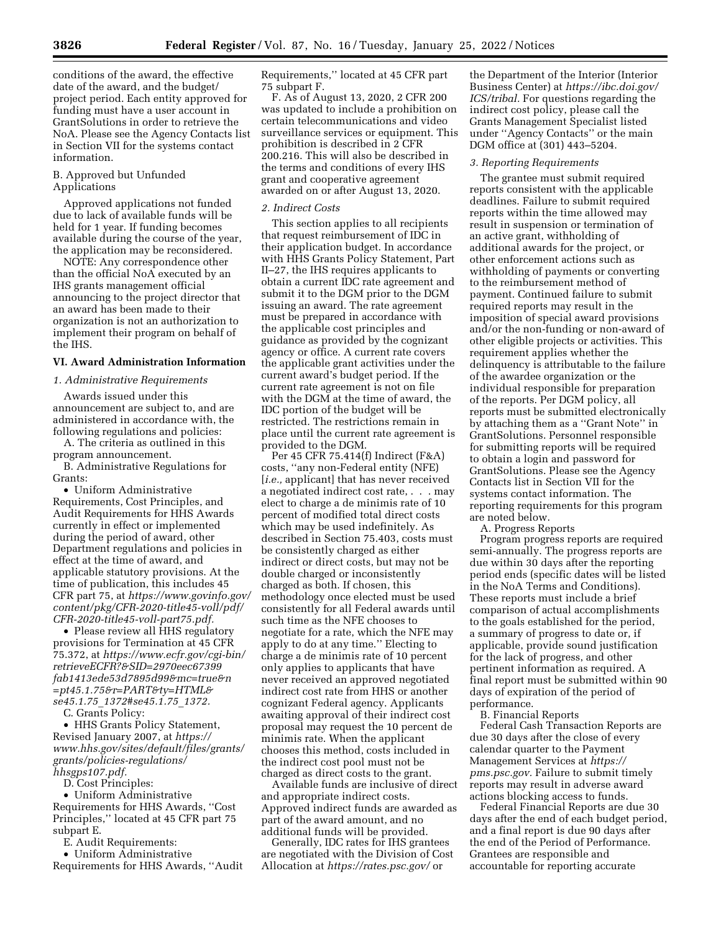conditions of the award, the effective date of the award, and the budget/ project period. Each entity approved for funding must have a user account in GrantSolutions in order to retrieve the NoA. Please see the Agency Contacts list in Section VII for the systems contact information.

## B. Approved but Unfunded Applications

Approved applications not funded due to lack of available funds will be held for 1 year. If funding becomes available during the course of the year, the application may be reconsidered.

NOTE: Any correspondence other than the official NoA executed by an IHS grants management official announcing to the project director that an award has been made to their organization is not an authorization to implement their program on behalf of the IHS.

## **VI. Award Administration Information**

## *1. Administrative Requirements*

Awards issued under this announcement are subject to, and are administered in accordance with, the following regulations and policies:

A. The criteria as outlined in this program announcement.

B. Administrative Regulations for Grants:

• Uniform Administrative Requirements, Cost Principles, and Audit Requirements for HHS Awards currently in effect or implemented during the period of award, other Department regulations and policies in effect at the time of award, and applicable statutory provisions. At the time of publication, this includes 45 CFR part 75, at *[https://www.govinfo.gov/](https://www.govinfo.gov/content/pkg/CFR-2020-title45-voll/pdf/CFR-2020-title45-voll-part75.pdf) [content/pkg/CFR-2020-title45-voll/pdf/](https://www.govinfo.gov/content/pkg/CFR-2020-title45-voll/pdf/CFR-2020-title45-voll-part75.pdf)  [CFR-2020-title45-voll-part75.pdf.](https://www.govinfo.gov/content/pkg/CFR-2020-title45-voll/pdf/CFR-2020-title45-voll-part75.pdf)* 

• Please review all HHS regulatory provisions for Termination at 45 CFR 75.372, at *[https://www.ecfr.gov/cgi-bin/](https://www.ecfr.gov/cgi-bin/retrieveECFR?&SID=2970eec67399fab1413ede53d7895d99&mc=true&n=pt45.1.75&r=PART&ty=HTML&se45.1.75_1372#se45.1.75_1372) [retrieveECFR?&SID=2970eec67399](https://www.ecfr.gov/cgi-bin/retrieveECFR?&SID=2970eec67399fab1413ede53d7895d99&mc=true&n=pt45.1.75&r=PART&ty=HTML&se45.1.75_1372#se45.1.75_1372) [fab1413ede53d7895d99&mc=true&n](https://www.ecfr.gov/cgi-bin/retrieveECFR?&SID=2970eec67399fab1413ede53d7895d99&mc=true&n=pt45.1.75&r=PART&ty=HTML&se45.1.75_1372#se45.1.75_1372) [=pt45.1.75&r=PART&ty=HTML&](https://www.ecfr.gov/cgi-bin/retrieveECFR?&SID=2970eec67399fab1413ede53d7895d99&mc=true&n=pt45.1.75&r=PART&ty=HTML&se45.1.75_1372#se45.1.75_1372) se45.1.75*\_*[1372#se45.1.75](https://www.ecfr.gov/cgi-bin/retrieveECFR?&SID=2970eec67399fab1413ede53d7895d99&mc=true&n=pt45.1.75&r=PART&ty=HTML&se45.1.75_1372#se45.1.75_1372)*\_*1372.* 

C. Grants Policy:

• HHS Grants Policy Statement, Revised January 2007, at *[https://](https://www.hhs.gov/sites/default/files/grants/grants/policies-regulations/hhsgps107.pdf) [www.hhs.gov/sites/default/files/grants/](https://www.hhs.gov/sites/default/files/grants/grants/policies-regulations/hhsgps107.pdf) [grants/policies-regulations/](https://www.hhs.gov/sites/default/files/grants/grants/policies-regulations/hhsgps107.pdf)  [hhsgps107.pdf.](https://www.hhs.gov/sites/default/files/grants/grants/policies-regulations/hhsgps107.pdf)* 

D. Cost Principles:

• Uniform Administrative

Requirements for HHS Awards, ''Cost Principles,'' located at 45 CFR part 75 subpart E.

E. Audit Requirements:

• Uniform Administrative Requirements for HHS Awards, ''Audit Requirements,'' located at 45 CFR part 75 subpart F.

F. As of August 13, 2020, 2 CFR 200 was updated to include a prohibition on certain telecommunications and video surveillance services or equipment. This prohibition is described in 2 CFR 200.216. This will also be described in the terms and conditions of every IHS grant and cooperative agreement awarded on or after August 13, 2020.

## *2. Indirect Costs*

This section applies to all recipients that request reimbursement of IDC in their application budget. In accordance with HHS Grants Policy Statement, Part II–27, the IHS requires applicants to obtain a current IDC rate agreement and submit it to the DGM prior to the DGM issuing an award. The rate agreement must be prepared in accordance with the applicable cost principles and guidance as provided by the cognizant agency or office. A current rate covers the applicable grant activities under the current award's budget period. If the current rate agreement is not on file with the DGM at the time of award, the IDC portion of the budget will be restricted. The restrictions remain in place until the current rate agreement is provided to the DGM.

Per 45 CFR 75.414(f) Indirect (F&A) costs, ''any non-Federal entity (NFE) [*i.e.*, applicant] that has never received a negotiated indirect cost rate, . . . may elect to charge a de minimis rate of 10 percent of modified total direct costs which may be used indefinitely. As described in Section 75.403, costs must be consistently charged as either indirect or direct costs, but may not be double charged or inconsistently charged as both. If chosen, this methodology once elected must be used consistently for all Federal awards until such time as the NFE chooses to negotiate for a rate, which the NFE may apply to do at any time.'' Electing to charge a de minimis rate of 10 percent only applies to applicants that have never received an approved negotiated indirect cost rate from HHS or another cognizant Federal agency. Applicants awaiting approval of their indirect cost proposal may request the 10 percent de minimis rate. When the applicant chooses this method, costs included in the indirect cost pool must not be charged as direct costs to the grant.

Available funds are inclusive of direct and appropriate indirect costs. Approved indirect funds are awarded as part of the award amount, and no additional funds will be provided.

Generally, IDC rates for IHS grantees are negotiated with the Division of Cost Allocation at *<https://rates.psc.gov/>* or

the Department of the Interior (Interior Business Center) at *[https://ibc.doi.gov/](https://ibc.doi.gov/ICS/tribal) [ICS/tribal.](https://ibc.doi.gov/ICS/tribal)* For questions regarding the indirect cost policy, please call the Grants Management Specialist listed under ''Agency Contacts'' or the main DGM office at (301) 443–5204.

#### *3. Reporting Requirements*

The grantee must submit required reports consistent with the applicable deadlines. Failure to submit required reports within the time allowed may result in suspension or termination of an active grant, withholding of additional awards for the project, or other enforcement actions such as withholding of payments or converting to the reimbursement method of payment. Continued failure to submit required reports may result in the imposition of special award provisions and/or the non-funding or non-award of other eligible projects or activities. This requirement applies whether the delinquency is attributable to the failure of the awardee organization or the individual responsible for preparation of the reports. Per DGM policy, all reports must be submitted electronically by attaching them as a ''Grant Note'' in GrantSolutions. Personnel responsible for submitting reports will be required to obtain a login and password for GrantSolutions. Please see the Agency Contacts list in Section VII for the systems contact information. The reporting requirements for this program are noted below.

A. Progress Reports

Program progress reports are required semi-annually. The progress reports are due within 30 days after the reporting period ends (specific dates will be listed in the NoA Terms and Conditions). These reports must include a brief comparison of actual accomplishments to the goals established for the period, a summary of progress to date or, if applicable, provide sound justification for the lack of progress, and other pertinent information as required. A final report must be submitted within 90 days of expiration of the period of performance.

B. Financial Reports

Federal Cash Transaction Reports are due 30 days after the close of every calendar quarter to the Payment Management Services at *[https://](https://pms.psc.gov) [pms.psc.gov.](https://pms.psc.gov)* Failure to submit timely reports may result in adverse award actions blocking access to funds.

Federal Financial Reports are due 30 days after the end of each budget period, and a final report is due 90 days after the end of the Period of Performance. Grantees are responsible and accountable for reporting accurate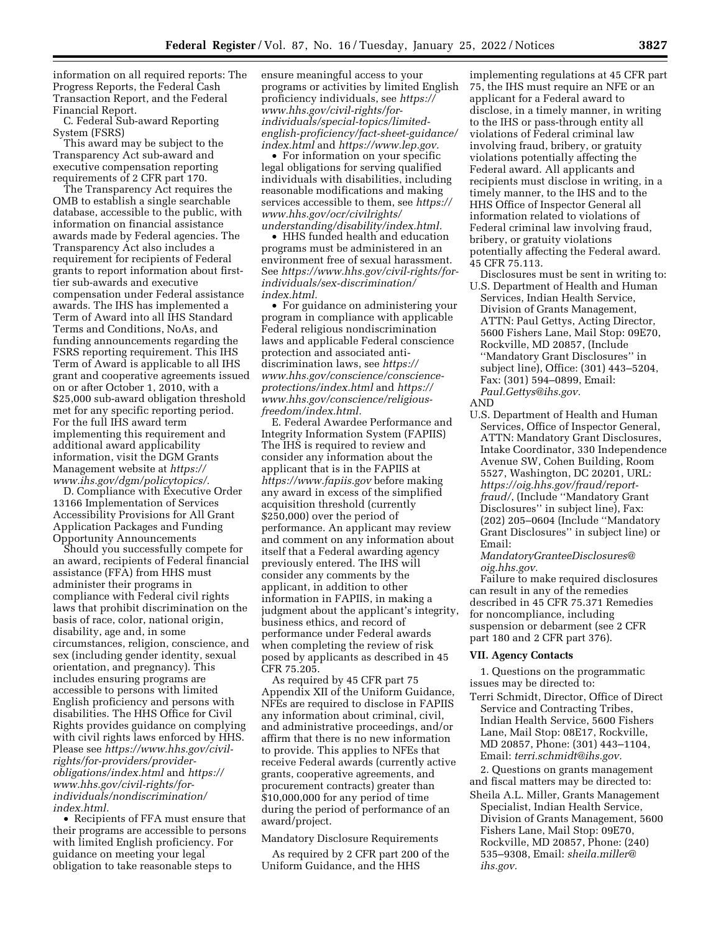information on all required reports: The Progress Reports, the Federal Cash Transaction Report, and the Federal Financial Report.

C. Federal Sub-award Reporting System (FSRS)

This award may be subject to the Transparency Act sub-award and executive compensation reporting requirements of 2 CFR part 170.

The Transparency Act requires the OMB to establish a single searchable database, accessible to the public, with information on financial assistance awards made by Federal agencies. The Transparency Act also includes a requirement for recipients of Federal grants to report information about firsttier sub-awards and executive compensation under Federal assistance awards. The IHS has implemented a Term of Award into all IHS Standard Terms and Conditions, NoAs, and funding announcements regarding the FSRS reporting requirement. This IHS Term of Award is applicable to all IHS grant and cooperative agreements issued on or after October 1, 2010, with a \$25,000 sub-award obligation threshold met for any specific reporting period. For the full IHS award term implementing this requirement and additional award applicability information, visit the DGM Grants Management website at *[https://](https://www.ihs.gov/dgm/policytopics/) [www.ihs.gov/dgm/policytopics/.](https://www.ihs.gov/dgm/policytopics/)* 

D. Compliance with Executive Order 13166 Implementation of Services Accessibility Provisions for All Grant Application Packages and Funding Opportunity Announcements

Should you successfully compete for an award, recipients of Federal financial assistance (FFA) from HHS must administer their programs in compliance with Federal civil rights laws that prohibit discrimination on the basis of race, color, national origin, disability, age and, in some circumstances, religion, conscience, and sex (including gender identity, sexual orientation, and pregnancy). This includes ensuring programs are accessible to persons with limited English proficiency and persons with disabilities. The HHS Office for Civil Rights provides guidance on complying with civil rights laws enforced by HHS. Please see *[https://www.hhs.gov/civil](https://www.hhs.gov/civil-rights/for-providers/provider-obligations/index.html)[rights/for-providers/provider](https://www.hhs.gov/civil-rights/for-providers/provider-obligations/index.html)[obligations/index.html](https://www.hhs.gov/civil-rights/for-providers/provider-obligations/index.html)* and *[https://](https://www.hhs.gov/civil-rights/for-individuals/nondiscrimination/index.html) [www.hhs.gov/civil-rights/for](https://www.hhs.gov/civil-rights/for-individuals/nondiscrimination/index.html)[individuals/nondiscrimination/](https://www.hhs.gov/civil-rights/for-individuals/nondiscrimination/index.html)  [index.html.](https://www.hhs.gov/civil-rights/for-individuals/nondiscrimination/index.html)* 

• Recipients of FFA must ensure that their programs are accessible to persons with limited English proficiency. For guidance on meeting your legal obligation to take reasonable steps to

ensure meaningful access to your programs or activities by limited English proficiency individuals, see *[https://](https://www.hhs.gov/civil-rights/for-individuals/special-topics/limited-english-proficiency/fact-sheet-guidance/index.html) [www.hhs.gov/civil-rights/for](https://www.hhs.gov/civil-rights/for-individuals/special-topics/limited-english-proficiency/fact-sheet-guidance/index.html)[individuals/special-topics/limited](https://www.hhs.gov/civil-rights/for-individuals/special-topics/limited-english-proficiency/fact-sheet-guidance/index.html)[english-proficiency/fact-sheet-guidance/](https://www.hhs.gov/civil-rights/for-individuals/special-topics/limited-english-proficiency/fact-sheet-guidance/index.html)  [index.html](https://www.hhs.gov/civil-rights/for-individuals/special-topics/limited-english-proficiency/fact-sheet-guidance/index.html)* and *[https://www.lep.gov.](https://www.lep.gov)* 

• For information on your specific legal obligations for serving qualified individuals with disabilities, including reasonable modifications and making services accessible to them, see *[https://](https://www.hhs.gov/ocr/civilrights/understanding/disability/index.html)  [www.hhs.gov/ocr/civilrights/](https://www.hhs.gov/ocr/civilrights/understanding/disability/index.html) [understanding/disability/index.html.](https://www.hhs.gov/ocr/civilrights/understanding/disability/index.html)* 

• HHS funded health and education programs must be administered in an environment free of sexual harassment. See *[https://www.hhs.gov/civil-rights/for](https://www.hhs.gov/civil-rights/for-individuals/sex-discrimination/index.html)[individuals/sex-discrimination/](https://www.hhs.gov/civil-rights/for-individuals/sex-discrimination/index.html) [index.html.](https://www.hhs.gov/civil-rights/for-individuals/sex-discrimination/index.html)* 

• For guidance on administering your program in compliance with applicable Federal religious nondiscrimination laws and applicable Federal conscience protection and associated antidiscrimination laws, see *[https://](https://www.hhs.gov/conscience/conscience-protections/index.html) [www.hhs.gov/conscience/conscience](https://www.hhs.gov/conscience/conscience-protections/index.html)[protections/index.html](https://www.hhs.gov/conscience/conscience-protections/index.html)* and *[https://](https://www.hhs.gov/conscience/religious-freedom/index.html) [www.hhs.gov/conscience/religious](https://www.hhs.gov/conscience/religious-freedom/index.html)[freedom/index.html.](https://www.hhs.gov/conscience/religious-freedom/index.html)* 

E. Federal Awardee Performance and Integrity Information System (FAPIIS) The IHS is required to review and consider any information about the applicant that is in the FAPIIS at *<https://www.fapiis.gov>* before making any award in excess of the simplified acquisition threshold (currently \$250,000) over the period of performance. An applicant may review and comment on any information about itself that a Federal awarding agency previously entered. The IHS will consider any comments by the applicant, in addition to other information in FAPIIS, in making a judgment about the applicant's integrity, business ethics, and record of performance under Federal awards when completing the review of risk posed by applicants as described in 45 CFR 75.205.

As required by 45 CFR part 75 Appendix XII of the Uniform Guidance, NFEs are required to disclose in FAPIIS any information about criminal, civil, and administrative proceedings, and/or affirm that there is no new information to provide. This applies to NFEs that receive Federal awards (currently active grants, cooperative agreements, and procurement contracts) greater than \$10,000,000 for any period of time during the period of performance of an award/project.

Mandatory Disclosure Requirements

As required by 2 CFR part 200 of the Uniform Guidance, and the HHS

implementing regulations at 45 CFR part 75, the IHS must require an NFE or an applicant for a Federal award to disclose, in a timely manner, in writing to the IHS or pass-through entity all violations of Federal criminal law involving fraud, bribery, or gratuity violations potentially affecting the Federal award. All applicants and recipients must disclose in writing, in a timely manner, to the IHS and to the HHS Office of Inspector General all information related to violations of Federal criminal law involving fraud, bribery, or gratuity violations potentially affecting the Federal award. 45 CFR 75.113.

Disclosures must be sent in writing to: U.S. Department of Health and Human Services, Indian Health Service, Division of Grants Management, ATTN: Paul Gettys, Acting Director, 5600 Fishers Lane, Mail Stop: 09E70, Rockville, MD 20857, (Include ''Mandatory Grant Disclosures'' in subject line), Office: (301) 443–5204, Fax: (301) 594–0899, Email: *[Paul.Gettys@ihs.gov.](mailto:Paul.Gettys@ihs.gov)*  AND

U.S. Department of Health and Human Services, Office of Inspector General, ATTN: Mandatory Grant Disclosures, Intake Coordinator, 330 Independence Avenue SW, Cohen Building, Room 5527, Washington, DC 20201, URL: *[https://oig.hhs.gov/fraud/report](https://oig.hhs.gov/fraud/report-fraud/)[fraud/](https://oig.hhs.gov/fraud/report-fraud/)*, (Include ''Mandatory Grant Disclosures'' in subject line), Fax: (202) 205–0604 (Include ''Mandatory Grant Disclosures'' in subject line) or Email:

*[MandatoryGranteeDisclosures@](mailto:MandatoryGranteeDisclosures@oig.hhs.gov) [oig.hhs.gov.](mailto:MandatoryGranteeDisclosures@oig.hhs.gov)* 

Failure to make required disclosures can result in any of the remedies described in 45 CFR 75.371 Remedies for noncompliance, including suspension or debarment (see 2 CFR part 180 and 2 CFR part 376).

## **VII. Agency Contacts**

1. Questions on the programmatic issues may be directed to:

Terri Schmidt, Director, Office of Direct Service and Contracting Tribes, Indian Health Service, 5600 Fishers Lane, Mail Stop: 08E17, Rockville, MD 20857, Phone: (301) 443–1104, Email: *[terri.schmidt@ihs.gov.](mailto:terri.schmidt@ihs.gov)* 

2. Questions on grants management and fiscal matters may be directed to: Sheila A.L. Miller, Grants Management

Specialist, Indian Health Service, Division of Grants Management, 5600 Fishers Lane, Mail Stop: 09E70, Rockville, MD 20857, Phone: (240) 535–9308, Email: *[sheila.miller@](mailto:sheila.miller@ihs.gov) [ihs.gov.](mailto:sheila.miller@ihs.gov)*